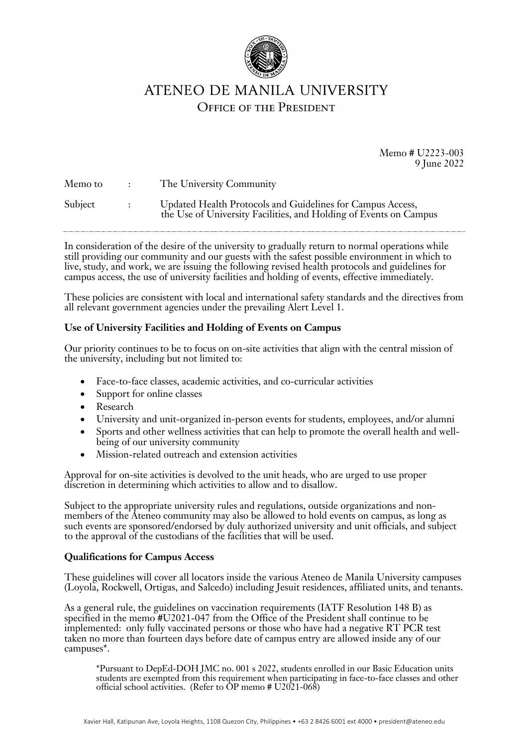

# ATENEO DE MANILA UNIVERSITY **OFFICE OF THE PRESIDENT**

Memo # U2223-003 9 June 2022

| Memo to | $\sim$ 100 $\sim$ 100 $\sim$ | The University Community                                                                                                        |
|---------|------------------------------|---------------------------------------------------------------------------------------------------------------------------------|
| Subject | $\sim 1000$ km s $^{-1}$     | Updated Health Protocols and Guidelines for Campus Access,<br>the Use of University Facilities, and Holding of Events on Campus |

In consideration of the desire of the university to gradually return to normal operations while still providing our community and our guests with the safest possible environment in which to live, study, and work, we are issuing the following revised health protocols and guidelines for campus access, the use of university facilities and holding of events, effective immediately.

These policies are consistent with local and international safety standards and the directives from all relevant government agencies under the prevailing Alert Level 1.

#### **Use of University Facilities and Holding of Events on Campus**

Our priority continues to be to focus on on-site activities that align with the central mission of the university, including but not limited to:

- Face-to-face classes, academic activities, and co-curricular activities
- Support for online classes
- Research
- University and unit-organized in-person events for students, employees, and/or alumni
- Sports and other wellness activities that can help to promote the overall health and wellbeing of our university community
- Mission-related outreach and extension activities

Approval for on-site activities is devolved to the unit heads, who are urged to use proper discretion in determining which activities to allow and to disallow.

Subject to the appropriate university rules and regulations, outside organizations and nonmembers of the Ateneo community may also be allowed to hold events on campus, as long as such events are sponsored/endorsed by duly authorized university and unit officials, and subject to the approval of the custodians of the facilities that will be used.

## **Qualifications for Campus Access**

These guidelines will cover all locators inside the various Ateneo de Manila University campuses (Loyola, Rockwell, Ortigas, and Salcedo) including Jesuit residences, affiliated units, and tenants.

As a general rule, the guidelines on vaccination requirements (IATF Resolution 148 B) as specified in the memo #U2021-047 from the Office of the President shall continue to be implemented: only fully vaccinated persons or those who have had a negative RT PCR test taken no more than fourteen days before date of campus entry are allowed inside any of our campuses\*.

\*Pursuant to DepEd-DOH JMC no. 001 s 2022, students enrolled in our Basic Education units students are exempted from this requirement when participating in face-to-face classes and other official school activities. (Refer to  $\overrightarrow{OP}$  memo # U2021-068)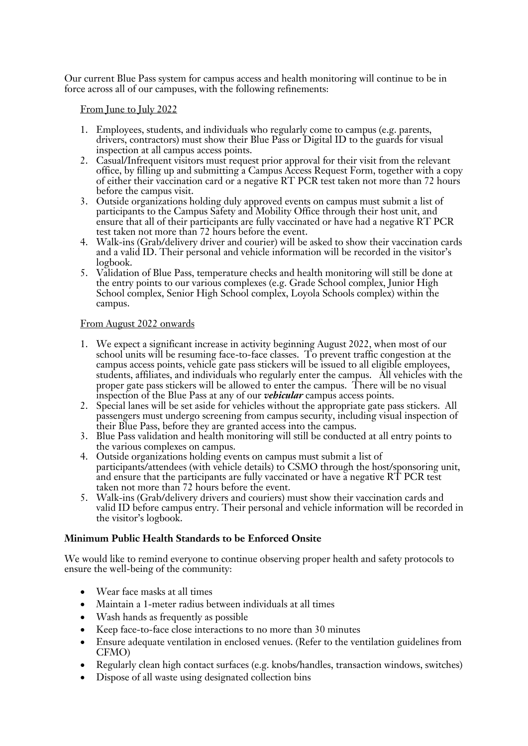Our current Blue Pass system for campus access and health monitoring will continue to be in force across all of our campuses, with the following refinements:

From June to July 2022

- 1. Employees, students, and individuals who regularly come to campus (e.g. parents, drivers, contractors) must show their Blue Pass or Digital ID to the guards for visual inspection at all campus access points.
- 2. Casual/Infrequent visitors must request prior approval for their visit from the relevant office, by filling up and submitting a Campus Access Request Form, together with a copy of either their vaccination card or a negative RT PCR test taken not more than 72 hours before the campus visit.
- 3. Outside organizations holding duly approved events on campus must submit a list of participants to the Campus Safety and Mobility Office through their host unit, and ensure that all of their participants are fully vaccinated or have had a negative RT PCR test taken not more than 72 hours before the event.
- 4. Walk-ins (Grab/delivery driver and courier) will be asked to show their vaccination cards and a valid ID. Their personal and vehicle information will be recorded in the visitor's logbook.
- 5. Validation of Blue Pass, temperature checks and health monitoring will still be done at the entry points to our various complexes (e.g. Grade School complex, Junior High School complex, Senior High School complex, Loyola Schools complex) within the campus.

## From August 2022 onwards

- 1. We expect a significant increase in activity beginning August 2022, when most of our school units will be resuming face-to-face classes. To prevent traffic congestion at the campus access points, vehicle gate pass stickers will be issued to all eligible employees, students, affiliates, and individuals who regularly enter the campus. All vehicles with the proper gate pass stickers will be allowed to enter the campus. There will be no visual inspection of the Blue Pass at any of our *vehicular* campus access points.
- 2. Special lanes will be set aside for vehicles without the appropriate gate pass stickers. All passengers must undergo screening from campus security, including visual inspection of their Blue Pass, before they are granted access into the campus.
- 3. Blue Pass validation and health monitoring will still be conducted at all entry points to the various complexes on campus.
- 4. Outside organizations holding events on campus must submit a list of participants/attendees (with vehicle details) to CSMO through the host/sponsoring unit, and ensure that the participants are fully vaccinated or have a negative RT PCR test taken not more than 72 hours before the event.
- 5. Walk-ins (Grab/delivery drivers and couriers) must show their vaccination cards and valid ID before campus entry. Their personal and vehicle information will be recorded in the visitor's logbook.

## **Minimum Public Health Standards to be Enforced Onsite**

We would like to remind everyone to continue observing proper health and safety protocols to ensure the well-being of the community:

- Wear face masks at all times
- Maintain a 1-meter radius between individuals at all times
- Wash hands as frequently as possible
- Keep face-to-face close interactions to no more than 30 minutes
- Ensure adequate ventilation in enclosed venues. (Refer to the ventilation guidelines from CFMO)
- Regularly clean high contact surfaces (e.g. knobs/handles, transaction windows, switches)
- Dispose of all waste using designated collection bins